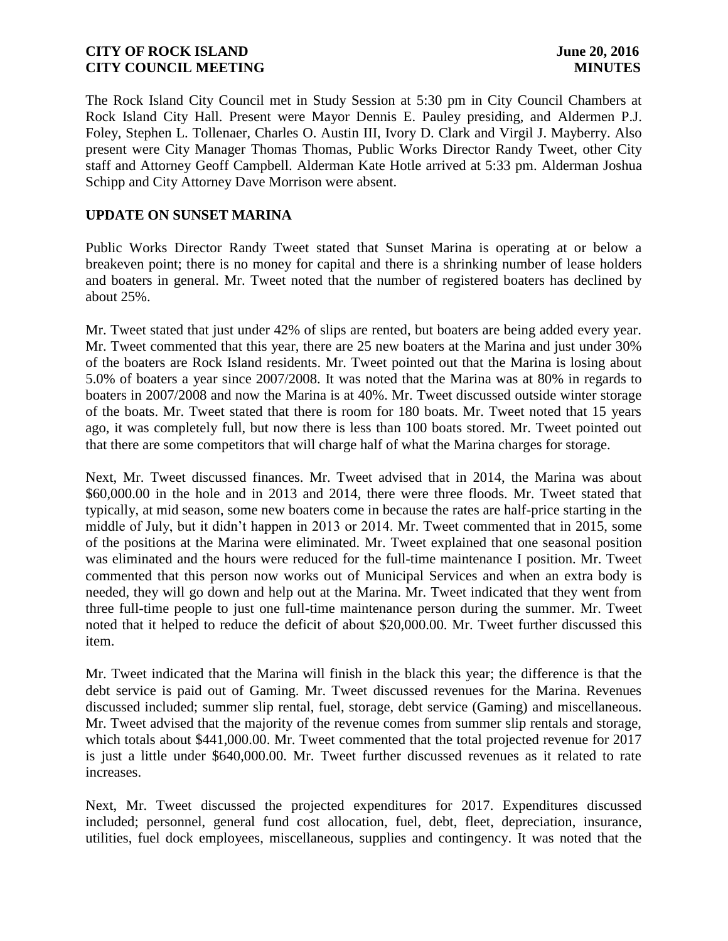The Rock Island City Council met in Study Session at 5:30 pm in City Council Chambers at Rock Island City Hall. Present were Mayor Dennis E. Pauley presiding, and Aldermen P.J. Foley, Stephen L. Tollenaer, Charles O. Austin III, Ivory D. Clark and Virgil J. Mayberry. Also present were City Manager Thomas Thomas, Public Works Director Randy Tweet, other City staff and Attorney Geoff Campbell. Alderman Kate Hotle arrived at 5:33 pm. Alderman Joshua Schipp and City Attorney Dave Morrison were absent.

## **UPDATE ON SUNSET MARINA**

Public Works Director Randy Tweet stated that Sunset Marina is operating at or below a breakeven point; there is no money for capital and there is a shrinking number of lease holders and boaters in general. Mr. Tweet noted that the number of registered boaters has declined by about 25%.

Mr. Tweet stated that just under 42% of slips are rented, but boaters are being added every year. Mr. Tweet commented that this year, there are 25 new boaters at the Marina and just under 30% of the boaters are Rock Island residents. Mr. Tweet pointed out that the Marina is losing about 5.0% of boaters a year since 2007/2008. It was noted that the Marina was at 80% in regards to boaters in 2007/2008 and now the Marina is at 40%. Mr. Tweet discussed outside winter storage of the boats. Mr. Tweet stated that there is room for 180 boats. Mr. Tweet noted that 15 years ago, it was completely full, but now there is less than 100 boats stored. Mr. Tweet pointed out that there are some competitors that will charge half of what the Marina charges for storage.

Next, Mr. Tweet discussed finances. Mr. Tweet advised that in 2014, the Marina was about \$60,000.00 in the hole and in 2013 and 2014, there were three floods. Mr. Tweet stated that typically, at mid season, some new boaters come in because the rates are half-price starting in the middle of July, but it didn't happen in 2013 or 2014. Mr. Tweet commented that in 2015, some of the positions at the Marina were eliminated. Mr. Tweet explained that one seasonal position was eliminated and the hours were reduced for the full-time maintenance I position. Mr. Tweet commented that this person now works out of Municipal Services and when an extra body is needed, they will go down and help out at the Marina. Mr. Tweet indicated that they went from three full-time people to just one full-time maintenance person during the summer. Mr. Tweet noted that it helped to reduce the deficit of about \$20,000.00. Mr. Tweet further discussed this item.

Mr. Tweet indicated that the Marina will finish in the black this year; the difference is that the debt service is paid out of Gaming. Mr. Tweet discussed revenues for the Marina. Revenues discussed included; summer slip rental, fuel, storage, debt service (Gaming) and miscellaneous. Mr. Tweet advised that the majority of the revenue comes from summer slip rentals and storage, which totals about \$441,000.00. Mr. Tweet commented that the total projected revenue for 2017 is just a little under \$640,000.00. Mr. Tweet further discussed revenues as it related to rate increases.

Next, Mr. Tweet discussed the projected expenditures for 2017. Expenditures discussed included; personnel, general fund cost allocation, fuel, debt, fleet, depreciation, insurance, utilities, fuel dock employees, miscellaneous, supplies and contingency. It was noted that the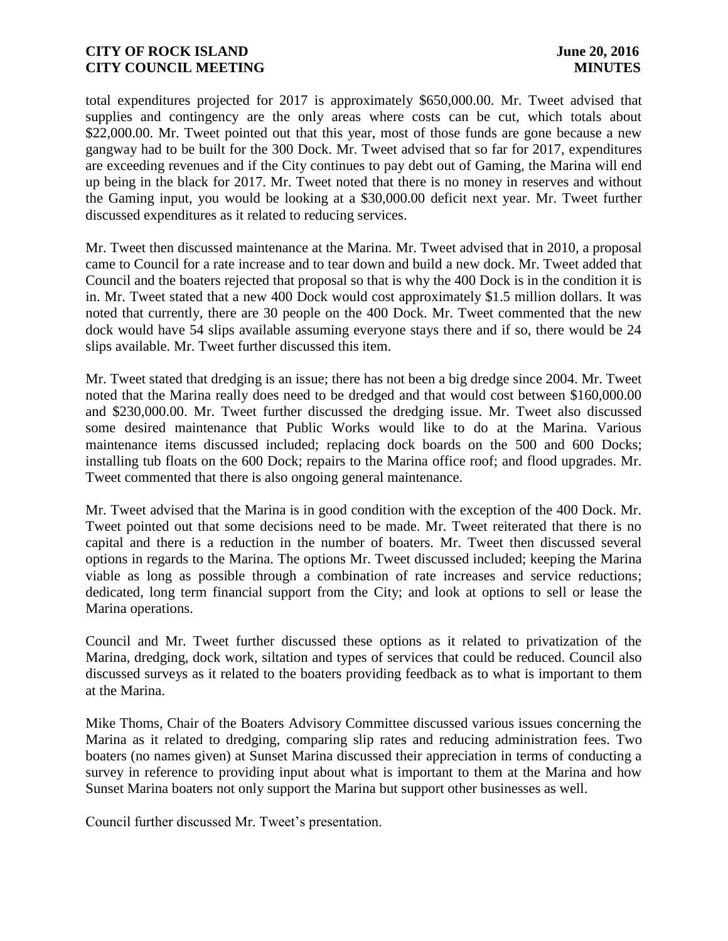total expenditures projected for 2017 is approximately \$650,000.00. Mr. Tweet advised that supplies and contingency are the only areas where costs can be cut, which totals about \$22,000.00. Mr. Tweet pointed out that this year, most of those funds are gone because a new gangway had to be built for the 300 Dock. Mr. Tweet advised that so far for 2017, expenditures are exceeding revenues and if the City continues to pay debt out of Gaming, the Marina will end up being in the black for 2017. Mr. Tweet noted that there is no money in reserves and without the Gaming input, you would be looking at a \$30,000.00 deficit next year. Mr. Tweet further discussed expenditures as it related to reducing services.

Mr. Tweet then discussed maintenance at the Marina. Mr. Tweet advised that in 2010, a proposal came to Council for a rate increase and to tear down and build a new dock. Mr. Tweet added that Council and the boaters rejected that proposal so that is why the 400 Dock is in the condition it is in. Mr. Tweet stated that a new 400 Dock would cost approximately \$1.5 million dollars. It was noted that currently, there are 30 people on the 400 Dock. Mr. Tweet commented that the new dock would have 54 slips available assuming everyone stays there and if so, there would be 24 slips available. Mr. Tweet further discussed this item.

Mr. Tweet stated that dredging is an issue; there has not been a big dredge since 2004. Mr. Tweet noted that the Marina really does need to be dredged and that would cost between \$160,000.00 and \$230,000.00. Mr. Tweet further discussed the dredging issue. Mr. Tweet also discussed some desired maintenance that Public Works would like to do at the Marina. Various maintenance items discussed included; replacing dock boards on the 500 and 600 Docks; installing tub floats on the 600 Dock; repairs to the Marina office roof; and flood upgrades. Mr. Tweet commented that there is also ongoing general maintenance.

Mr. Tweet advised that the Marina is in good condition with the exception of the 400 Dock. Mr. Tweet pointed out that some decisions need to be made. Mr. Tweet reiterated that there is no capital and there is a reduction in the number of boaters. Mr. Tweet then discussed several options in regards to the Marina. The options Mr. Tweet discussed included; keeping the Marina viable as long as possible through a combination of rate increases and service reductions; dedicated, long term financial support from the City; and look at options to sell or lease the Marina operations.

Council and Mr. Tweet further discussed these options as it related to privatization of the Marina, dredging, dock work, siltation and types of services that could be reduced. Council also discussed surveys as it related to the boaters providing feedback as to what is important to them at the Marina.

Mike Thoms, Chair of the Boaters Advisory Committee discussed various issues concerning the Marina as it related to dredging, comparing slip rates and reducing administration fees. Two boaters (no names given) at Sunset Marina discussed their appreciation in terms of conducting a survey in reference to providing input about what is important to them at the Marina and how Sunset Marina boaters not only support the Marina but support other businesses as well.

Council further discussed Mr. Tweet's presentation.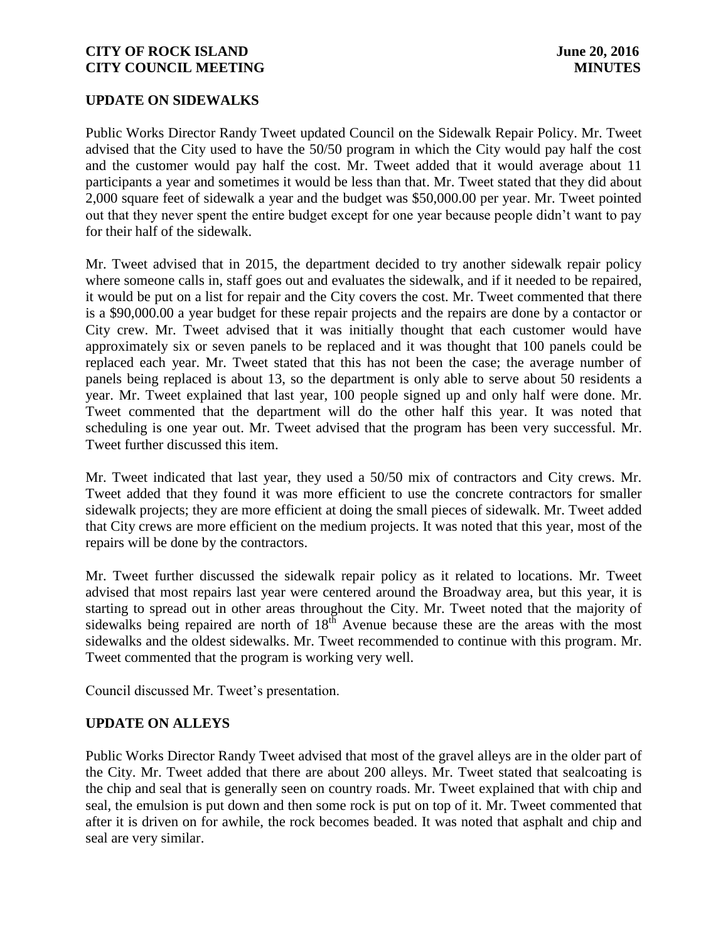## **UPDATE ON SIDEWALKS**

Public Works Director Randy Tweet updated Council on the Sidewalk Repair Policy. Mr. Tweet advised that the City used to have the 50/50 program in which the City would pay half the cost and the customer would pay half the cost. Mr. Tweet added that it would average about 11 participants a year and sometimes it would be less than that. Mr. Tweet stated that they did about 2,000 square feet of sidewalk a year and the budget was \$50,000.00 per year. Mr. Tweet pointed out that they never spent the entire budget except for one year because people didn't want to pay for their half of the sidewalk.

Mr. Tweet advised that in 2015, the department decided to try another sidewalk repair policy where someone calls in, staff goes out and evaluates the sidewalk, and if it needed to be repaired, it would be put on a list for repair and the City covers the cost. Mr. Tweet commented that there is a \$90,000.00 a year budget for these repair projects and the repairs are done by a contactor or City crew. Mr. Tweet advised that it was initially thought that each customer would have approximately six or seven panels to be replaced and it was thought that 100 panels could be replaced each year. Mr. Tweet stated that this has not been the case; the average number of panels being replaced is about 13, so the department is only able to serve about 50 residents a year. Mr. Tweet explained that last year, 100 people signed up and only half were done. Mr. Tweet commented that the department will do the other half this year. It was noted that scheduling is one year out. Mr. Tweet advised that the program has been very successful. Mr. Tweet further discussed this item.

Mr. Tweet indicated that last year, they used a 50/50 mix of contractors and City crews. Mr. Tweet added that they found it was more efficient to use the concrete contractors for smaller sidewalk projects; they are more efficient at doing the small pieces of sidewalk. Mr. Tweet added that City crews are more efficient on the medium projects. It was noted that this year, most of the repairs will be done by the contractors.

Mr. Tweet further discussed the sidewalk repair policy as it related to locations. Mr. Tweet advised that most repairs last year were centered around the Broadway area, but this year, it is starting to spread out in other areas throughout the City. Mr. Tweet noted that the majority of sidewalks being repaired are north of  $18<sup>th</sup>$  Avenue because these are the areas with the most sidewalks and the oldest sidewalks. Mr. Tweet recommended to continue with this program. Mr. Tweet commented that the program is working very well.

Council discussed Mr. Tweet's presentation.

#### **UPDATE ON ALLEYS**

Public Works Director Randy Tweet advised that most of the gravel alleys are in the older part of the City. Mr. Tweet added that there are about 200 alleys. Mr. Tweet stated that sealcoating is the chip and seal that is generally seen on country roads. Mr. Tweet explained that with chip and seal, the emulsion is put down and then some rock is put on top of it. Mr. Tweet commented that after it is driven on for awhile, the rock becomes beaded. It was noted that asphalt and chip and seal are very similar.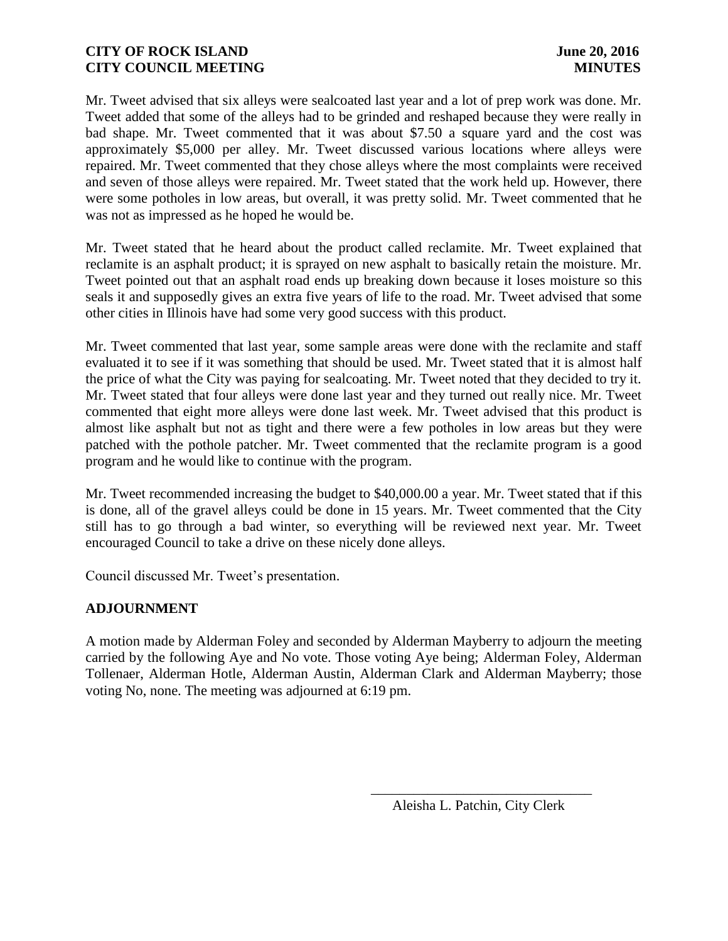Mr. Tweet advised that six alleys were sealcoated last year and a lot of prep work was done. Mr. Tweet added that some of the alleys had to be grinded and reshaped because they were really in bad shape. Mr. Tweet commented that it was about \$7.50 a square yard and the cost was approximately \$5,000 per alley. Mr. Tweet discussed various locations where alleys were repaired. Mr. Tweet commented that they chose alleys where the most complaints were received and seven of those alleys were repaired. Mr. Tweet stated that the work held up. However, there were some potholes in low areas, but overall, it was pretty solid. Mr. Tweet commented that he was not as impressed as he hoped he would be.

Mr. Tweet stated that he heard about the product called reclamite. Mr. Tweet explained that reclamite is an asphalt product; it is sprayed on new asphalt to basically retain the moisture. Mr. Tweet pointed out that an asphalt road ends up breaking down because it loses moisture so this seals it and supposedly gives an extra five years of life to the road. Mr. Tweet advised that some other cities in Illinois have had some very good success with this product.

Mr. Tweet commented that last year, some sample areas were done with the reclamite and staff evaluated it to see if it was something that should be used. Mr. Tweet stated that it is almost half the price of what the City was paying for sealcoating. Mr. Tweet noted that they decided to try it. Mr. Tweet stated that four alleys were done last year and they turned out really nice. Mr. Tweet commented that eight more alleys were done last week. Mr. Tweet advised that this product is almost like asphalt but not as tight and there were a few potholes in low areas but they were patched with the pothole patcher. Mr. Tweet commented that the reclamite program is a good program and he would like to continue with the program.

Mr. Tweet recommended increasing the budget to \$40,000.00 a year. Mr. Tweet stated that if this is done, all of the gravel alleys could be done in 15 years. Mr. Tweet commented that the City still has to go through a bad winter, so everything will be reviewed next year. Mr. Tweet encouraged Council to take a drive on these nicely done alleys.

Council discussed Mr. Tweet's presentation.

## **ADJOURNMENT**

A motion made by Alderman Foley and seconded by Alderman Mayberry to adjourn the meeting carried by the following Aye and No vote. Those voting Aye being; Alderman Foley, Alderman Tollenaer, Alderman Hotle, Alderman Austin, Alderman Clark and Alderman Mayberry; those voting No, none. The meeting was adjourned at 6:19 pm.

 $\overline{\phantom{a}}$  , and the contract of the contract of the contract of the contract of the contract of the contract of the contract of the contract of the contract of the contract of the contract of the contract of the contrac

Aleisha L. Patchin, City Clerk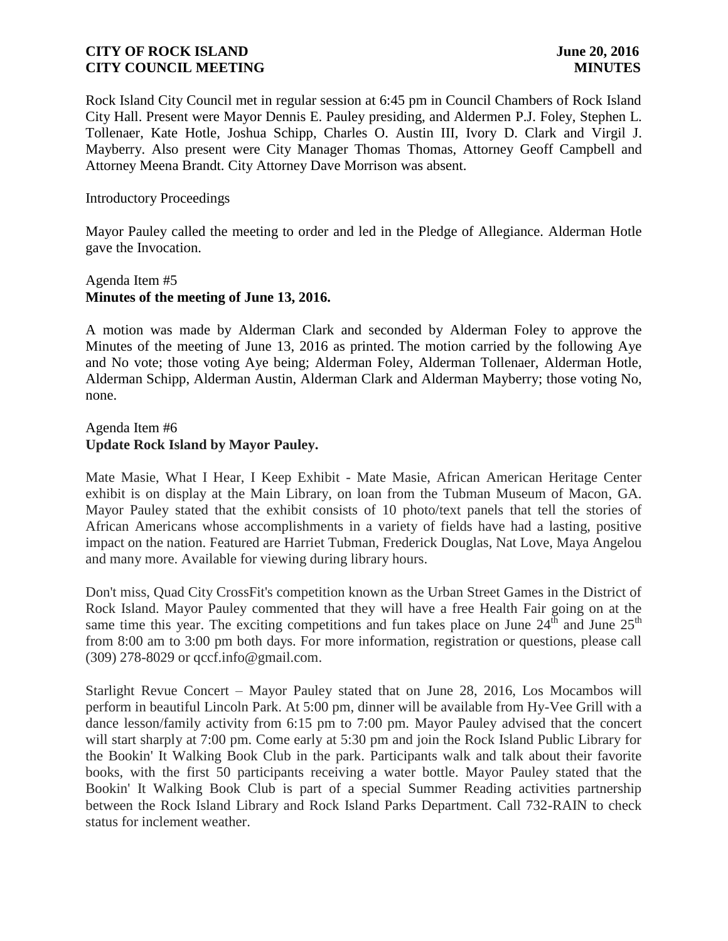Rock Island City Council met in regular session at 6:45 pm in Council Chambers of Rock Island City Hall. Present were Mayor Dennis E. Pauley presiding, and Aldermen P.J. Foley, Stephen L. Tollenaer, Kate Hotle, Joshua Schipp, Charles O. Austin III, Ivory D. Clark and Virgil J. Mayberry. Also present were City Manager Thomas Thomas, Attorney Geoff Campbell and Attorney Meena Brandt. City Attorney Dave Morrison was absent.

Introductory Proceedings

Mayor Pauley called the meeting to order and led in the Pledge of Allegiance. Alderman Hotle gave the Invocation.

## Agenda Item #5 **Minutes of the meeting of June 13, 2016.**

A motion was made by Alderman Clark and seconded by Alderman Foley to approve the Minutes of the meeting of June 13, 2016 as printed. The motion carried by the following Aye and No vote; those voting Aye being; Alderman Foley, Alderman Tollenaer, Alderman Hotle, Alderman Schipp, Alderman Austin, Alderman Clark and Alderman Mayberry; those voting No, none.

## Agenda Item #6 **Update Rock Island by Mayor Pauley.**

Mate Masie, What I Hear, I Keep Exhibit - Mate Masie, African American Heritage Center exhibit is on display at the Main Library, on loan from the Tubman Museum of Macon, GA. Mayor Pauley stated that the exhibit consists of 10 photo/text panels that tell the stories of African Americans whose accomplishments in a variety of fields have had a lasting, positive impact on the nation. Featured are Harriet Tubman, Frederick Douglas, Nat Love, Maya Angelou and many more. Available for viewing during library hours.

Don't miss, Quad City CrossFit's competition known as the Urban Street Games in the District of Rock Island. Mayor Pauley commented that they will have a free Health Fair going on at the same time this year. The exciting competitions and fun takes place on June  $24^{th}$  and June  $25^{th}$ from 8:00 am to 3:00 pm both days. For more information, registration or questions, please call (309) 278-8029 or qccf.info@gmail.com.

Starlight Revue Concert – Mayor Pauley stated that on June 28, 2016, Los Mocambos will perform in beautiful Lincoln Park. At 5:00 pm, dinner will be available from Hy-Vee Grill with a dance lesson/family activity from 6:15 pm to 7:00 pm. Mayor Pauley advised that the concert will start sharply at 7:00 pm. Come early at 5:30 pm and join the Rock Island Public Library for the Bookin' It Walking Book Club in the park. Participants walk and talk about their favorite books, with the first 50 participants receiving a water bottle. Mayor Pauley stated that the Bookin' It Walking Book Club is part of a special Summer Reading activities partnership between the Rock Island Library and Rock Island Parks Department. Call 732-RAIN to check status for inclement weather.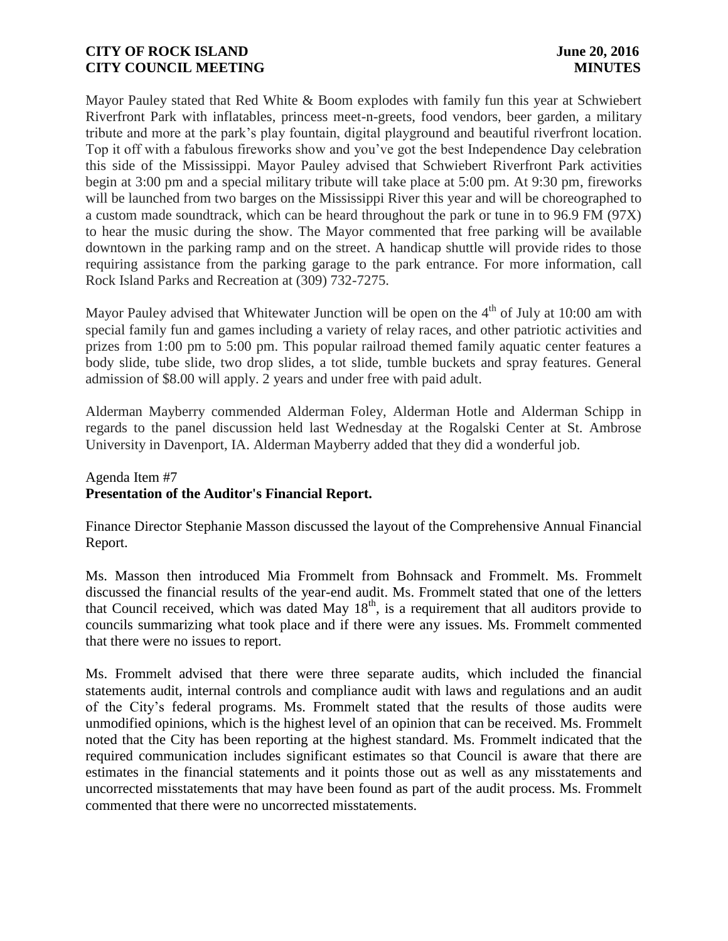Mayor Pauley stated that Red White & Boom explodes with family fun this year at Schwiebert Riverfront Park with inflatables, princess meet-n-greets, food vendors, beer garden, a military tribute and more at the park's play fountain, digital playground and beautiful riverfront location. Top it off with a fabulous fireworks show and you've got the best Independence Day celebration this side of the Mississippi. Mayor Pauley advised that Schwiebert Riverfront Park activities begin at 3:00 pm and a special military tribute will take place at 5:00 pm. At 9:30 pm, fireworks will be launched from two barges on the Mississippi River this year and will be choreographed to a custom made soundtrack, which can be heard throughout the park or tune in to 96.9 FM (97X) to hear the music during the show. The Mayor commented that free parking will be available downtown in the parking ramp and on the street. A handicap shuttle will provide rides to those requiring assistance from the parking garage to the park entrance. For more information, call Rock Island Parks and Recreation at (309) 732-7275.

Mayor Pauley advised that Whitewater Junction will be open on the  $4<sup>th</sup>$  of July at 10:00 am with special family fun and games including a variety of relay races, and other patriotic activities and prizes from 1:00 pm to 5:00 pm. This popular railroad themed family aquatic center features a body slide, tube slide, two drop slides, a tot slide, tumble buckets and spray features. General admission of \$8.00 will apply. 2 years and under free with paid adult.

Alderman Mayberry commended Alderman Foley, Alderman Hotle and Alderman Schipp in regards to the panel discussion held last Wednesday at the Rogalski Center at St. Ambrose University in Davenport, IA. Alderman Mayberry added that they did a wonderful job.

## Agenda Item #7 **Presentation of the Auditor's Financial Report.**

Finance Director Stephanie Masson discussed the layout of the Comprehensive Annual Financial Report.

Ms. Masson then introduced Mia Frommelt from Bohnsack and Frommelt. Ms. Frommelt discussed the financial results of the year-end audit. Ms. Frommelt stated that one of the letters that Council received, which was dated May  $18<sup>th</sup>$ , is a requirement that all auditors provide to councils summarizing what took place and if there were any issues. Ms. Frommelt commented that there were no issues to report.

Ms. Frommelt advised that there were three separate audits, which included the financial statements audit, internal controls and compliance audit with laws and regulations and an audit of the City's federal programs. Ms. Frommelt stated that the results of those audits were unmodified opinions, which is the highest level of an opinion that can be received. Ms. Frommelt noted that the City has been reporting at the highest standard. Ms. Frommelt indicated that the required communication includes significant estimates so that Council is aware that there are estimates in the financial statements and it points those out as well as any misstatements and uncorrected misstatements that may have been found as part of the audit process. Ms. Frommelt commented that there were no uncorrected misstatements.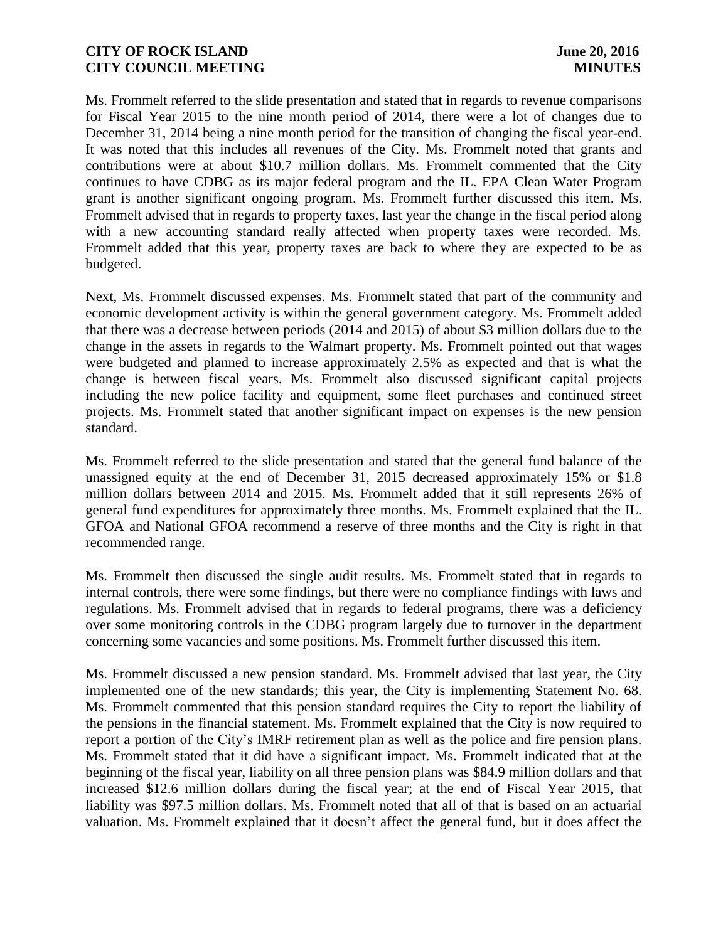Ms. Frommelt referred to the slide presentation and stated that in regards to revenue comparisons for Fiscal Year 2015 to the nine month period of 2014, there were a lot of changes due to December 31, 2014 being a nine month period for the transition of changing the fiscal year-end. It was noted that this includes all revenues of the City. Ms. Frommelt noted that grants and contributions were at about \$10.7 million dollars. Ms. Frommelt commented that the City continues to have CDBG as its major federal program and the IL. EPA Clean Water Program grant is another significant ongoing program. Ms. Frommelt further discussed this item. Ms. Frommelt advised that in regards to property taxes, last year the change in the fiscal period along with a new accounting standard really affected when property taxes were recorded. Ms. Frommelt added that this year, property taxes are back to where they are expected to be as budgeted.

Next, Ms. Frommelt discussed expenses. Ms. Frommelt stated that part of the community and economic development activity is within the general government category. Ms. Frommelt added that there was a decrease between periods (2014 and 2015) of about \$3 million dollars due to the change in the assets in regards to the Walmart property. Ms. Frommelt pointed out that wages were budgeted and planned to increase approximately 2.5% as expected and that is what the change is between fiscal years. Ms. Frommelt also discussed significant capital projects including the new police facility and equipment, some fleet purchases and continued street projects. Ms. Frommelt stated that another significant impact on expenses is the new pension standard.

Ms. Frommelt referred to the slide presentation and stated that the general fund balance of the unassigned equity at the end of December 31, 2015 decreased approximately 15% or \$1.8 million dollars between 2014 and 2015. Ms. Frommelt added that it still represents 26% of general fund expenditures for approximately three months. Ms. Frommelt explained that the IL. GFOA and National GFOA recommend a reserve of three months and the City is right in that recommended range.

Ms. Frommelt then discussed the single audit results. Ms. Frommelt stated that in regards to internal controls, there were some findings, but there were no compliance findings with laws and regulations. Ms. Frommelt advised that in regards to federal programs, there was a deficiency over some monitoring controls in the CDBG program largely due to turnover in the department concerning some vacancies and some positions. Ms. Frommelt further discussed this item.

Ms. Frommelt discussed a new pension standard. Ms. Frommelt advised that last year, the City implemented one of the new standards; this year, the City is implementing Statement No. 68. Ms. Frommelt commented that this pension standard requires the City to report the liability of the pensions in the financial statement. Ms. Frommelt explained that the City is now required to report a portion of the City's IMRF retirement plan as well as the police and fire pension plans. Ms. Frommelt stated that it did have a significant impact. Ms. Frommelt indicated that at the beginning of the fiscal year, liability on all three pension plans was \$84.9 million dollars and that increased \$12.6 million dollars during the fiscal year; at the end of Fiscal Year 2015, that liability was \$97.5 million dollars. Ms. Frommelt noted that all of that is based on an actuarial valuation. Ms. Frommelt explained that it doesn't affect the general fund, but it does affect the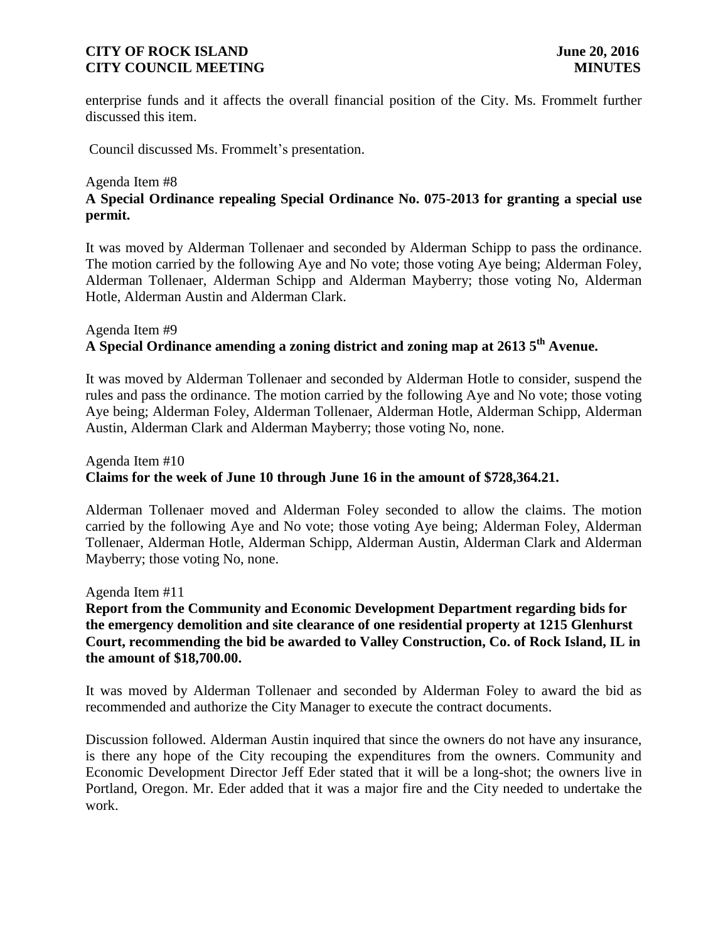enterprise funds and it affects the overall financial position of the City. Ms. Frommelt further discussed this item.

Council discussed Ms. Frommelt's presentation.

#### Agenda Item #8

## **A Special Ordinance repealing Special Ordinance No. 075-2013 for granting a special use permit.**

It was moved by Alderman Tollenaer and seconded by Alderman Schipp to pass the ordinance. The motion carried by the following Aye and No vote; those voting Aye being; Alderman Foley, Alderman Tollenaer, Alderman Schipp and Alderman Mayberry; those voting No, Alderman Hotle, Alderman Austin and Alderman Clark.

## Agenda Item #9 **A Special Ordinance amending a zoning district and zoning map at 2613 5th Avenue.**

It was moved by Alderman Tollenaer and seconded by Alderman Hotle to consider, suspend the rules and pass the ordinance. The motion carried by the following Aye and No vote; those voting Aye being; Alderman Foley, Alderman Tollenaer, Alderman Hotle, Alderman Schipp, Alderman Austin, Alderman Clark and Alderman Mayberry; those voting No, none.

# Agenda Item #10 **Claims for the week of June 10 through June 16 in the amount of \$728,364.21.**

Alderman Tollenaer moved and Alderman Foley seconded to allow the claims. The motion carried by the following Aye and No vote; those voting Aye being; Alderman Foley, Alderman Tollenaer, Alderman Hotle, Alderman Schipp, Alderman Austin, Alderman Clark and Alderman Mayberry; those voting No, none.

#### Agenda Item #11

**Report from the Community and Economic Development Department regarding bids for the emergency demolition and site clearance of one residential property at 1215 Glenhurst Court, recommending the bid be awarded to Valley Construction, Co. of Rock Island, IL in the amount of \$18,700.00.** 

It was moved by Alderman Tollenaer and seconded by Alderman Foley to award the bid as recommended and authorize the City Manager to execute the contract documents.

Discussion followed. Alderman Austin inquired that since the owners do not have any insurance, is there any hope of the City recouping the expenditures from the owners. Community and Economic Development Director Jeff Eder stated that it will be a long-shot; the owners live in Portland, Oregon. Mr. Eder added that it was a major fire and the City needed to undertake the work.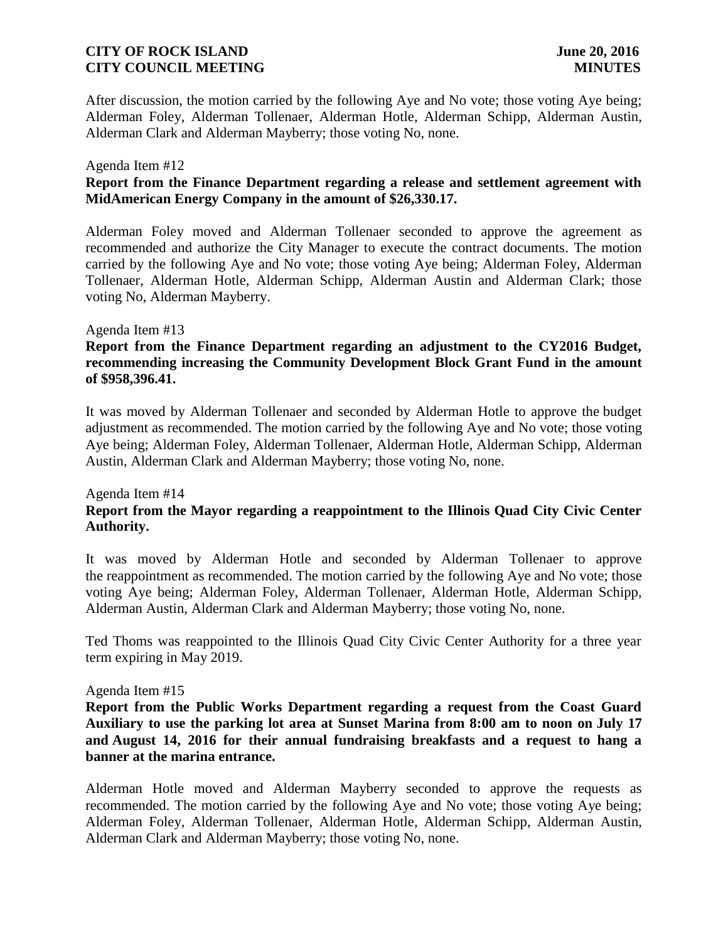After discussion, the motion carried by the following Aye and No vote; those voting Aye being; Alderman Foley, Alderman Tollenaer, Alderman Hotle, Alderman Schipp, Alderman Austin, Alderman Clark and Alderman Mayberry; those voting No, none.

#### Agenda Item #12

## **Report from the Finance Department regarding a release and settlement agreement with MidAmerican Energy Company in the amount of \$26,330.17.**

Alderman Foley moved and Alderman Tollenaer seconded to approve the agreement as recommended and authorize the City Manager to execute the contract documents. The motion carried by the following Aye and No vote; those voting Aye being; Alderman Foley, Alderman Tollenaer, Alderman Hotle, Alderman Schipp, Alderman Austin and Alderman Clark; those voting No, Alderman Mayberry.

#### Agenda Item #13

## **Report from the Finance Department regarding an adjustment to the CY2016 Budget, recommending increasing the Community Development Block Grant Fund in the amount of \$958,396.41.**

It was moved by Alderman Tollenaer and seconded by Alderman Hotle to approve the budget adjustment as recommended. The motion carried by the following Aye and No vote; those voting Aye being; Alderman Foley, Alderman Tollenaer, Alderman Hotle, Alderman Schipp, Alderman Austin, Alderman Clark and Alderman Mayberry; those voting No, none.

## Agenda Item #14 **Report from the Mayor regarding a reappointment to the Illinois Quad City Civic Center Authority.**

It was moved by Alderman Hotle and seconded by Alderman Tollenaer to approve the reappointment as recommended. The motion carried by the following Aye and No vote; those voting Aye being; Alderman Foley, Alderman Tollenaer, Alderman Hotle, Alderman Schipp, Alderman Austin, Alderman Clark and Alderman Mayberry; those voting No, none.

Ted Thoms was reappointed to the Illinois Quad City Civic Center Authority for a three year term expiring in May 2019.

#### Agenda Item #15

**Report from the Public Works Department regarding a request from the Coast Guard Auxiliary to use the parking lot area at Sunset Marina from 8:00 am to noon on July 17 and August 14, 2016 for their annual fundraising breakfasts and a request to hang a banner at the marina entrance.**

Alderman Hotle moved and Alderman Mayberry seconded to approve the requests as recommended. The motion carried by the following Aye and No vote; those voting Aye being; Alderman Foley, Alderman Tollenaer, Alderman Hotle, Alderman Schipp, Alderman Austin, Alderman Clark and Alderman Mayberry; those voting No, none.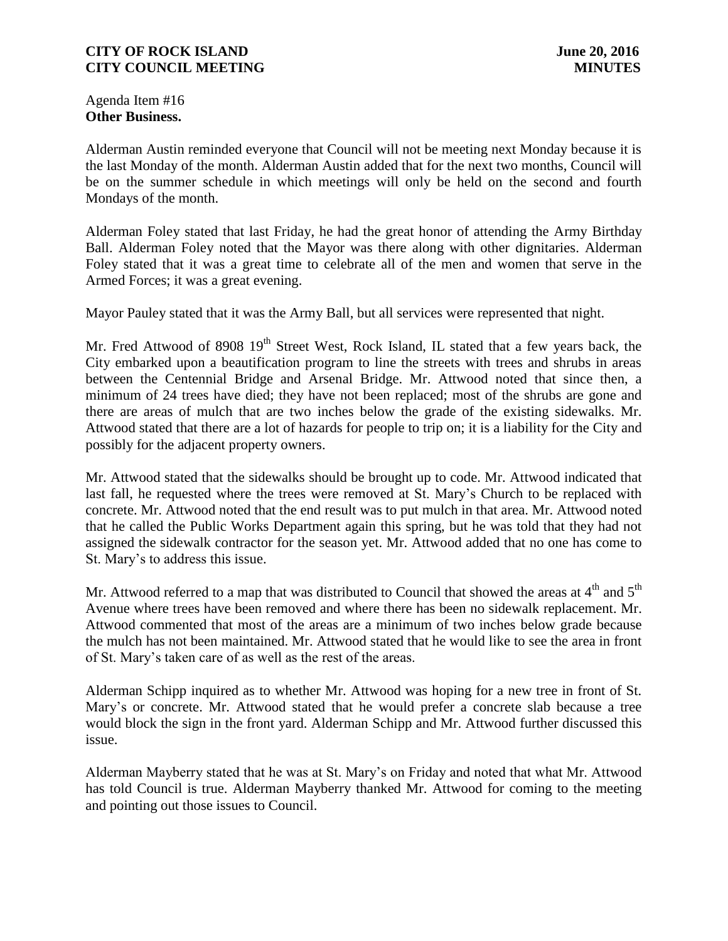Agenda Item #16 **Other Business.**

Alderman Austin reminded everyone that Council will not be meeting next Monday because it is the last Monday of the month. Alderman Austin added that for the next two months, Council will be on the summer schedule in which meetings will only be held on the second and fourth Mondays of the month.

Alderman Foley stated that last Friday, he had the great honor of attending the Army Birthday Ball. Alderman Foley noted that the Mayor was there along with other dignitaries. Alderman Foley stated that it was a great time to celebrate all of the men and women that serve in the Armed Forces; it was a great evening.

Mayor Pauley stated that it was the Army Ball, but all services were represented that night.

Mr. Fred Attwood of 8908 19<sup>th</sup> Street West, Rock Island, IL stated that a few years back, the City embarked upon a beautification program to line the streets with trees and shrubs in areas between the Centennial Bridge and Arsenal Bridge. Mr. Attwood noted that since then, a minimum of 24 trees have died; they have not been replaced; most of the shrubs are gone and there are areas of mulch that are two inches below the grade of the existing sidewalks. Mr. Attwood stated that there are a lot of hazards for people to trip on; it is a liability for the City and possibly for the adjacent property owners.

Mr. Attwood stated that the sidewalks should be brought up to code. Mr. Attwood indicated that last fall, he requested where the trees were removed at St. Mary's Church to be replaced with concrete. Mr. Attwood noted that the end result was to put mulch in that area. Mr. Attwood noted that he called the Public Works Department again this spring, but he was told that they had not assigned the sidewalk contractor for the season yet. Mr. Attwood added that no one has come to St. Mary's to address this issue.

Mr. Attwood referred to a map that was distributed to Council that showed the areas at  $4<sup>th</sup>$  and  $5<sup>th</sup>$ Avenue where trees have been removed and where there has been no sidewalk replacement. Mr. Attwood commented that most of the areas are a minimum of two inches below grade because the mulch has not been maintained. Mr. Attwood stated that he would like to see the area in front of St. Mary's taken care of as well as the rest of the areas.

Alderman Schipp inquired as to whether Mr. Attwood was hoping for a new tree in front of St. Mary's or concrete. Mr. Attwood stated that he would prefer a concrete slab because a tree would block the sign in the front yard. Alderman Schipp and Mr. Attwood further discussed this issue.

Alderman Mayberry stated that he was at St. Mary's on Friday and noted that what Mr. Attwood has told Council is true. Alderman Mayberry thanked Mr. Attwood for coming to the meeting and pointing out those issues to Council.